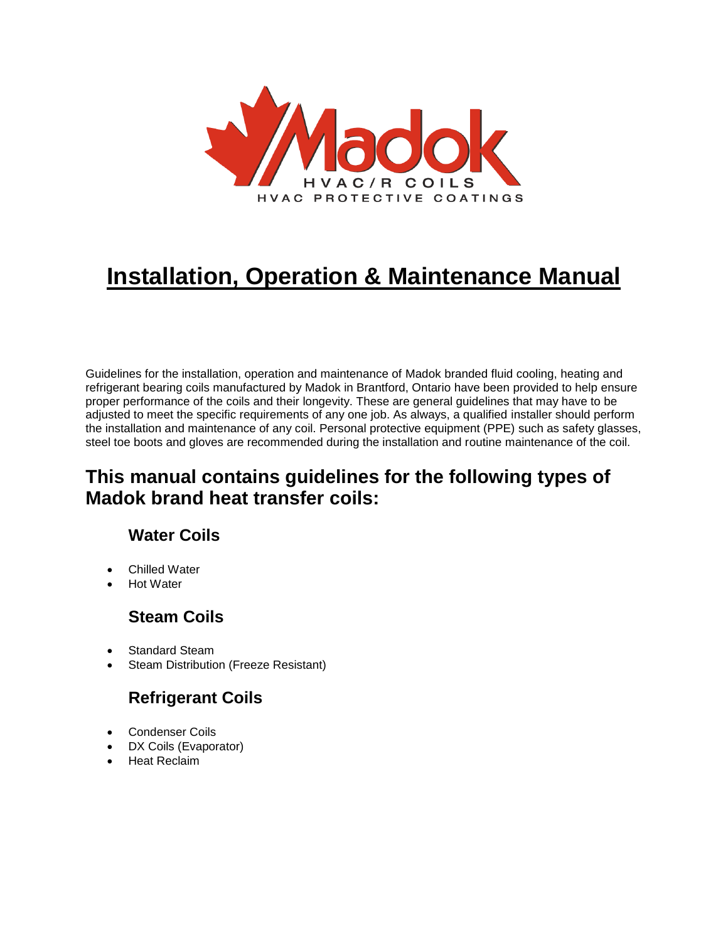

# **Installation, Operation & Maintenance Manual**

Guidelines for the installation, operation and maintenance of Madok branded fluid cooling, heating and refrigerant bearing coils manufactured by Madok in Brantford, Ontario have been provided to help ensure proper performance of the coils and their longevity. These are general guidelines that may have to be adjusted to meet the specific requirements of any one job. As always, a qualified installer should perform the installation and maintenance of any coil. Personal protective equipment (PPE) such as safety glasses, steel toe boots and gloves are recommended during the installation and routine maintenance of the coil.

## **This manual contains guidelines for the following types of Madok brand heat transfer coils:**

## **Water Coils**

- Chilled Water
- Hot Water

## **Steam Coils**

- Standard Steam
- Steam Distribution (Freeze Resistant)

## **Refrigerant Coils**

- Condenser Coils
- DX Coils (Evaporator)
- Heat Reclaim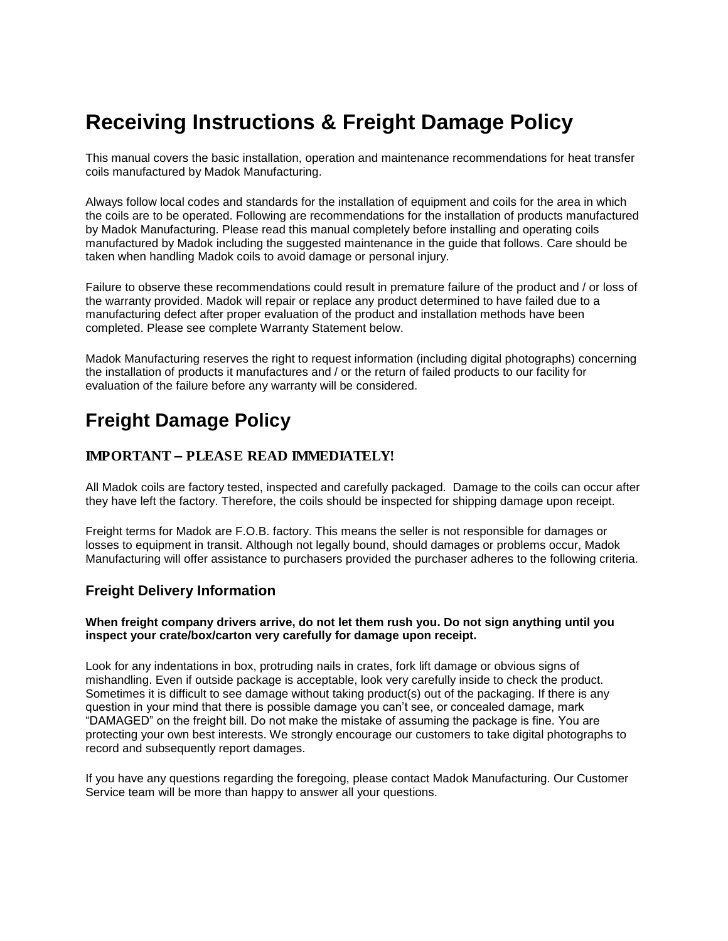# **Receiving Instructions & Freight Damage Policy**

This manual covers the basic installation, operation and maintenance recommendations for heat transfer coils manufactured by Madok Manufacturing.

Always follow local codes and standards for the installation of equipment and coils for the area in which the coils are to be operated. Following are recommendations for the installation of products manufactured by Madok Manufacturing. Please read this manual completely before installing and operating coils manufactured by Madok including the suggested maintenance in the guide that follows. Care should be taken when handling Madok coils to avoid damage or personal injury.

Failure to observe these recommendations could result in premature failure of the product and / or loss of the warranty provided. Madok will repair or replace any product determined to have failed due to a manufacturing defect after proper evaluation of the product and installation methods have been completed. Please see complete Warranty Statement below.

Madok Manufacturing reserves the right to request information (including digital photographs) concerning the installation of products it manufactures and / or the return of failed products to our facility for evaluation of the failure before any warranty will be considered.

## **Freight Damage Policy**

#### *IMPORTANT – PLEASE READ IMMEDIATELY!*

All Madok coils are factory tested, inspected and carefully packaged. Damage to the coils can occur after they have left the factory. Therefore, the coils should be inspected for shipping damage upon receipt.

Freight terms for Madok are F.O.B. factory. This means the seller is not responsible for damages or losses to equipment in transit. Although not legally bound, should damages or problems occur, Madok Manufacturing will offer assistance to purchasers provided the purchaser adheres to the following criteria.

### **Freight Delivery Information**

#### **When freight company drivers arrive, do not let them rush you. Do not sign anything until you inspect your crate/box/carton very carefully for damage upon receipt.**

Look for any indentations in box, protruding nails in crates, fork lift damage or obvious signs of mishandling. Even if outside package is acceptable, look very carefully inside to check the product. Sometimes it is difficult to see damage without taking product(s) out of the packaging. If there is any question in your mind that there is possible damage you can't see, or concealed damage, mark "DAMAGED" on the freight bill. Do not make the mistake of assuming the package is fine. You are protecting your own best interests. We strongly encourage our customers to take digital photographs to record and subsequently report damages.

If you have any questions regarding the foregoing, please contact Madok Manufacturing. Our Customer Service team will be more than happy to answer all your questions.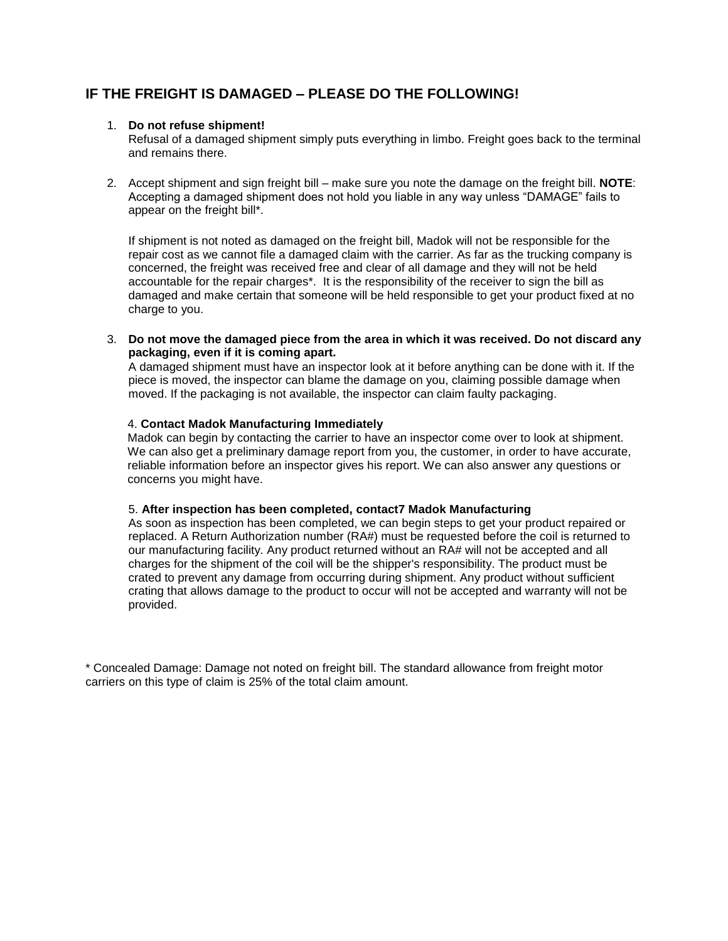### **IF THE FREIGHT IS DAMAGED – PLEASE DO THE FOLLOWING!**

#### 1. **Do not refuse shipment!**

Refusal of a damaged shipment simply puts everything in limbo. Freight goes back to the terminal and remains there.

2. Accept shipment and sign freight bill – make sure you note the damage on the freight bill. **NOTE**: Accepting a damaged shipment does not hold you liable in any way unless "DAMAGE" fails to appear on the freight bill\*.

If shipment is not noted as damaged on the freight bill, Madok will not be responsible for the repair cost as we cannot file a damaged claim with the carrier. As far as the trucking company is concerned, the freight was received free and clear of all damage and they will not be held accountable for the repair charges\*. It is the responsibility of the receiver to sign the bill as damaged and make certain that someone will be held responsible to get your product fixed at no charge to you.

3. **Do not move the damaged piece from the area in which it was received. Do not discard any packaging, even if it is coming apart.**

A damaged shipment must have an inspector look at it before anything can be done with it. If the piece is moved, the inspector can blame the damage on you, claiming possible damage when moved. If the packaging is not available, the inspector can claim faulty packaging.

#### 4. **Contact Madok Manufacturing Immediately**

Madok can begin by contacting the carrier to have an inspector come over to look at shipment. We can also get a preliminary damage report from you, the customer, in order to have accurate, reliable information before an inspector gives his report. We can also answer any questions or concerns you might have.

#### 5. **After inspection has been completed, contact7 Madok Manufacturing**

As soon as inspection has been completed, we can begin steps to get your product repaired or replaced. A Return Authorization number (RA#) must be requested before the coil is returned to our manufacturing facility. Any product returned without an RA# will not be accepted and all charges for the shipment of the coil will be the shipper's responsibility. The product must be crated to prevent any damage from occurring during shipment. Any product without sufficient crating that allows damage to the product to occur will not be accepted and warranty will not be provided.

\* Concealed Damage: Damage not noted on freight bill. The standard allowance from freight motor carriers on this type of claim is 25% of the total claim amount.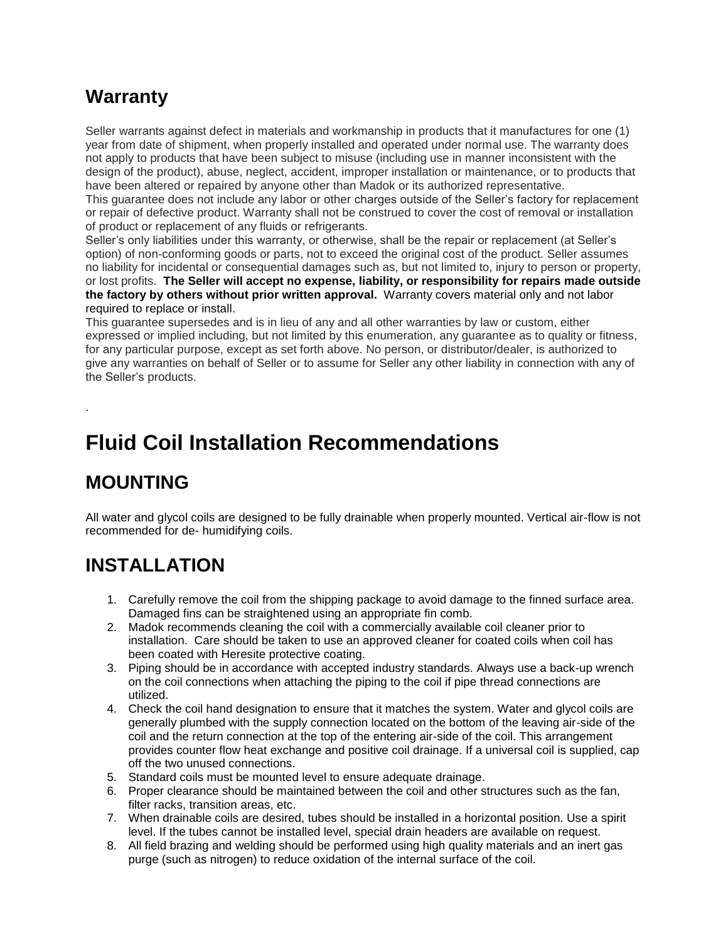# **Warranty**

Seller warrants against defect in materials and workmanship in products that it manufactures for one (1) year from date of shipment, when properly installed and operated under normal use. The warranty does not apply to products that have been subject to misuse (including use in manner inconsistent with the design of the product), abuse, neglect, accident, improper installation or maintenance, or to products that have been altered or repaired by anyone other than Madok or its authorized representative.

This guarantee does not include any labor or other charges outside of the Seller's factory for replacement or repair of defective product. Warranty shall not be construed to cover the cost of removal or installation of product or replacement of any fluids or refrigerants.

Seller's only liabilities under this warranty, or otherwise, shall be the repair or replacement (at Seller's option) of non-conforming goods or parts, not to exceed the original cost of the product. Seller assumes no liability for incidental or consequential damages such as, but not limited to, injury to person or property, or lost profits. **The Seller will accept no expense, liability, or responsibility for repairs made outside the factory by others without prior written approval.** Warranty covers material only and not labor required to replace or install.

This guarantee supersedes and is in lieu of any and all other warranties by law or custom, either expressed or implied including, but not limited by this enumeration, any guarantee as to quality or fitness, for any particular purpose, except as set forth above. No person, or distributor/dealer, is authorized to give any warranties on behalf of Seller or to assume for Seller any other liability in connection with any of the Seller's products.

# **Fluid Coil Installation Recommendations**

# **MOUNTING**

.

All water and glycol coils are designed to be fully drainable when properly mounted. Vertical air-flow is not recommended for de- humidifying coils.

# **INSTALLATION**

- 1. Carefully remove the coil from the shipping package to avoid damage to the finned surface area. Damaged fins can be straightened using an appropriate fin comb.
- 2. Madok recommends cleaning the coil with a commercially available coil cleaner prior to installation. Care should be taken to use an approved cleaner for coated coils when coil has been coated with Heresite protective coating.
- 3. Piping should be in accordance with accepted industry standards. Always use a back-up wrench on the coil connections when attaching the piping to the coil if pipe thread connections are utilized.
- 4. Check the coil hand designation to ensure that it matches the system. Water and glycol coils are generally plumbed with the supply connection located on the bottom of the leaving air-side of the coil and the return connection at the top of the entering air-side of the coil. This arrangement provides counter flow heat exchange and positive coil drainage. If a universal coil is supplied, cap off the two unused connections.
- 5. Standard coils must be mounted level to ensure adequate drainage.
- 6. Proper clearance should be maintained between the coil and other structures such as the fan, filter racks, transition areas, etc.
- 7. When drainable coils are desired, tubes should be installed in a horizontal position. Use a spirit level. If the tubes cannot be installed level, special drain headers are available on request.
- 8. All field brazing and welding should be performed using high quality materials and an inert gas purge (such as nitrogen) to reduce oxidation of the internal surface of the coil.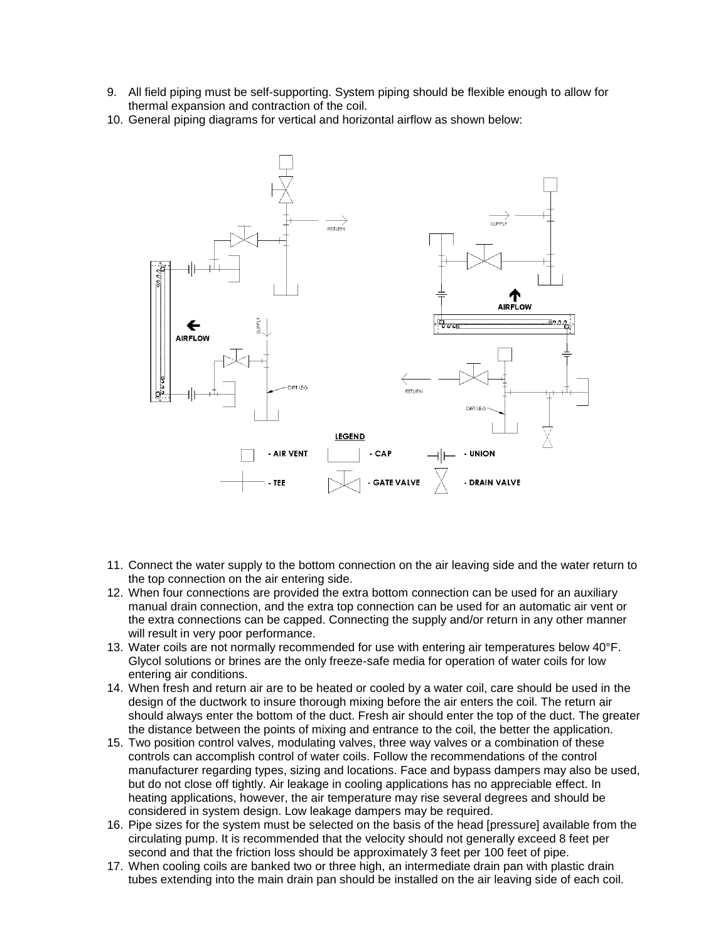- 9. All field piping must be self-supporting. System piping should be flexible enough to allow for thermal expansion and contraction of the coil.
- 10. General piping diagrams for vertical and horizontal airflow as shown below:



- 11. Connect the water supply to the bottom connection on the air leaving side and the water return to the top connection on the air entering side.
- 12. When four connections are provided the extra bottom connection can be used for an auxiliary manual drain connection, and the extra top connection can be used for an automatic air vent or the extra connections can be capped. Connecting the supply and/or return in any other manner will result in very poor performance.
- 13. Water coils are not normally recommended for use with entering air temperatures below 40°F. Glycol solutions or brines are the only freeze-safe media for operation of water coils for low entering air conditions.
- 14. When fresh and return air are to be heated or cooled by a water coil, care should be used in the design of the ductwork to insure thorough mixing before the air enters the coil. The return air should always enter the bottom of the duct. Fresh air should enter the top of the duct. The greater the distance between the points of mixing and entrance to the coil, the better the application.
- 15. Two position control valves, modulating valves, three way valves or a combination of these controls can accomplish control of water coils. Follow the recommendations of the control manufacturer regarding types, sizing and locations. Face and bypass dampers may also be used, but do not close off tightly. Air leakage in cooling applications has no appreciable effect. In heating applications, however, the air temperature may rise several degrees and should be considered in system design. Low leakage dampers may be required.
- 16. Pipe sizes for the system must be selected on the basis of the head [pressure] available from the circulating pump. It is recommended that the velocity should not generally exceed 8 feet per second and that the friction loss should be approximately 3 feet per 100 feet of pipe.
- 17. When cooling coils are banked two or three high, an intermediate drain pan with plastic drain tubes extending into the main drain pan should be installed on the air leaving side of each coil.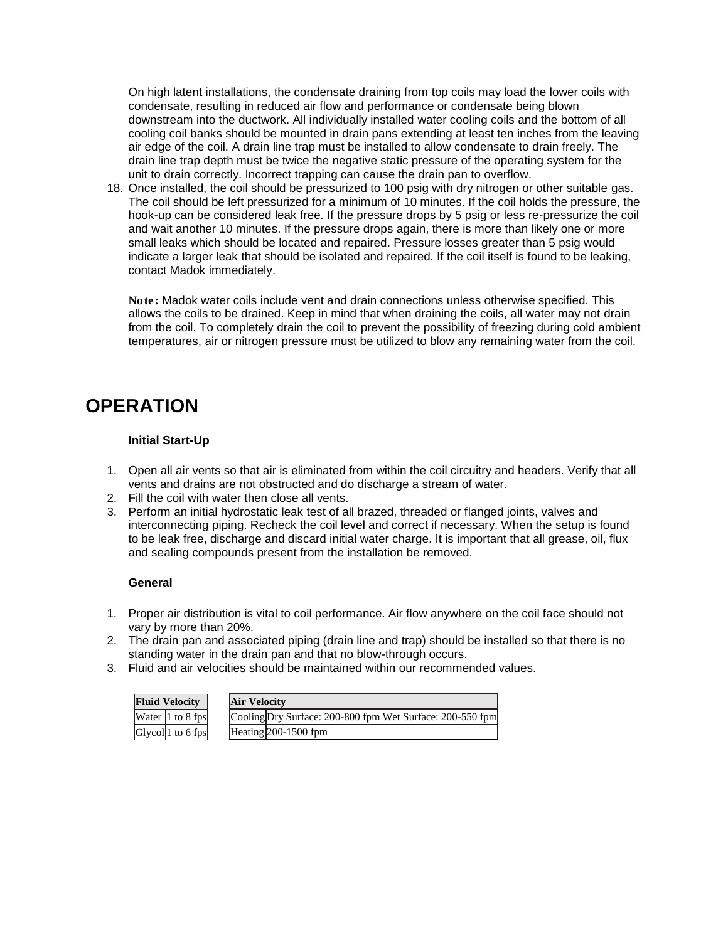On high latent installations, the condensate draining from top coils may load the lower coils with condensate, resulting in reduced air flow and performance or condensate being blown downstream into the ductwork. All individually installed water cooling coils and the bottom of all cooling coil banks should be mounted in drain pans extending at least ten inches from the leaving air edge of the coil. A drain line trap must be installed to allow condensate to drain freely. The drain line trap depth must be twice the negative static pressure of the operating system for the unit to drain correctly. Incorrect trapping can cause the drain pan to overflow.

18. Once installed, the coil should be pressurized to 100 psig with dry nitrogen or other suitable gas. The coil should be left pressurized for a minimum of 10 minutes. If the coil holds the pressure, the hook-up can be considered leak free. If the pressure drops by 5 psig or less re-pressurize the coil and wait another 10 minutes. If the pressure drops again, there is more than likely one or more small leaks which should be located and repaired. Pressure losses greater than 5 psig would indicate a larger leak that should be isolated and repaired. If the coil itself is found to be leaking, contact Madok immediately.

*Note: Madok water coils include vent and drain connections unless otherwise specified. This allows the coils to be drained. Keep in mind that when draining the coils, all water may not drain*  from the coil. To completely drain the coil to prevent the possibility of freezing during cold ambient *temperatures, air or nitrogen pressure must be utilized to blow any remaining water from the coil.* 

# **OPERATION**

### **Initial Start-Up**

- 1. Open all air vents so that air is eliminated from within the coil circuitry and headers. Verify that all vents and drains are not obstructed and do discharge a stream of water.
- 2. Fill the coil with water then close all vents.
- 3. Perform an initial hydrostatic leak test of all brazed, threaded or flanged joints, valves and interconnecting piping. Recheck the coil level and correct if necessary. When the setup is found to be leak free, discharge and discard initial water charge. It is important that all grease, oil, flux and sealing compounds present from the installation be removed.

#### **General**

- 1. Proper air distribution is vital to coil performance. Air flow anywhere on the coil face should not vary by more than 20%.
- 2. The drain pan and associated piping (drain line and trap) should be installed so that there is no standing water in the drain pan and that no blow-through occurs.
- 3. Fluid and air velocities should be maintained within our recommended values.

| <b>Fluid Velocity</b> |                                                | <b>Air Velocity</b> |                                                           |  |
|-----------------------|------------------------------------------------|---------------------|-----------------------------------------------------------|--|
|                       | Water 1 to 8 fps                               |                     | Cooling Dry Surface: 200-800 fpm Wet Surface: 200-550 fpm |  |
|                       | Glycol <sup><math>\vert</math>1</sup> to 6 fps |                     | Heating 200-1500 fpm                                      |  |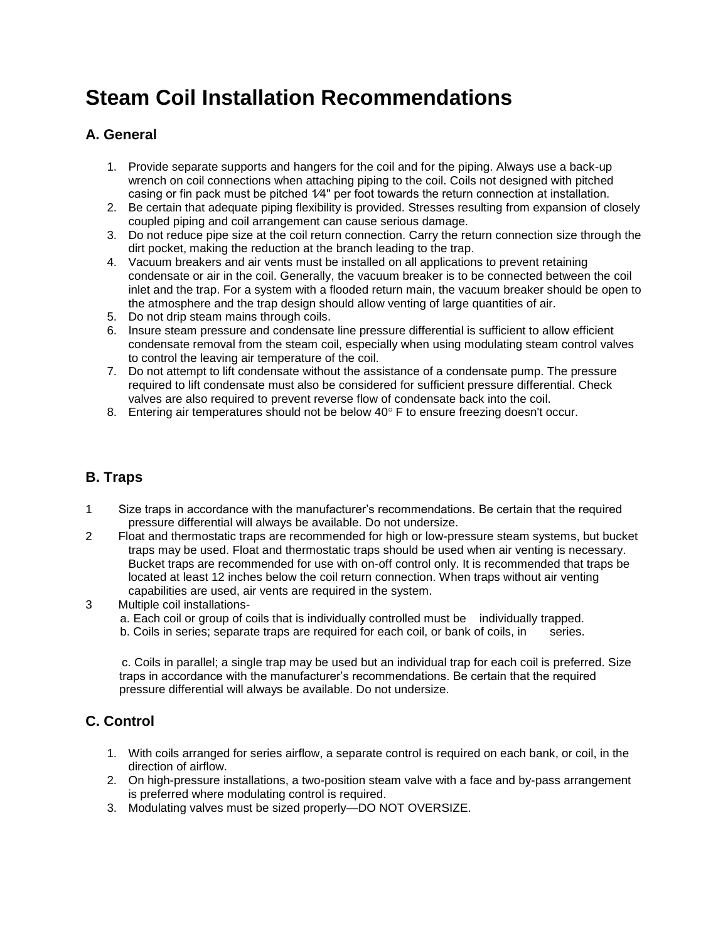# **Steam Coil Installation Recommendations**

## **A. General**

- 1. Provide separate supports and hangers for the coil and for the piping. Always use a back-up wrench on coil connections when attaching piping to the coil. Coils not designed with pitched casing or fin pack must be pitched 1/4" per foot towards the return connection at installation.
- 2. Be certain that adequate piping flexibility is provided. Stresses resulting from expansion of closely coupled piping and coil arrangement can cause serious damage.
- 3. Do not reduce pipe size at the coil return connection. Carry the return connection size through the dirt pocket, making the reduction at the branch leading to the trap.
- 4. Vacuum breakers and air vents must be installed on all applications to prevent retaining condensate or air in the coil. Generally, the vacuum breaker is to be connected between the coil inlet and the trap. For a system with a flooded return main, the vacuum breaker should be open to the atmosphere and the trap design should allow venting of large quantities of air.
- 5. Do not drip steam mains through coils.
- 6. Insure steam pressure and condensate line pressure differential is sufficient to allow efficient condensate removal from the steam coil, especially when using modulating steam control valves to control the leaving air temperature of the coil.
- 7. Do not attempt to lift condensate without the assistance of a condensate pump. The pressure required to lift condensate must also be considered for sufficient pressure differential. Check valves are also required to prevent reverse flow of condensate back into the coil.
- 8. Entering air temperatures should not be below 40° F to ensure freezing doesn't occur.

## **B. Traps**

- 1 Size traps in accordance with the manufacturer's recommendations. Be certain that the required pressure differential will always be available. Do not undersize.
- 2 Float and thermostatic traps are recommended for high or low-pressure steam systems, but bucket traps may be used. Float and thermostatic traps should be used when air venting is necessary. Bucket traps are recommended for use with on-off control only. It is recommended that traps be located at least 12 inches below the coil return connection. When traps without air venting capabilities are used, air vents are required in the system.
- 3 Multiple coil installations
	- a. Each coil or group of coils that is individually controlled must be individually trapped.
	- b. Coils in series; separate traps are required for each coil, or bank of coils, in series.

 c. Coils in parallel; a single trap may be used but an individual trap for each coil is preferred. Size traps in accordance with the manufacturer's recommendations. Be certain that the required pressure differential will always be available. Do not undersize.

### **C. Control**

- 1. With coils arranged for series airflow, a separate control is required on each bank, or coil, in the direction of airflow.
- 2. On high-pressure installations, a two-position steam valve with a face and by-pass arrangement is preferred where modulating control is required.
- 3. Modulating valves must be sized properly—DO NOT OVERSIZE.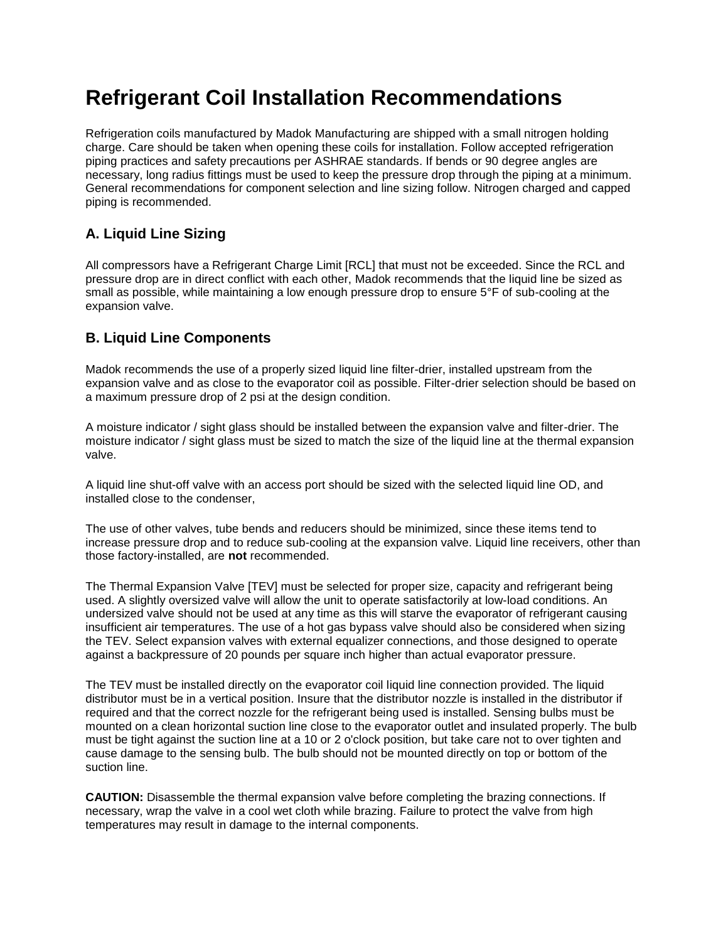# **Refrigerant Coil Installation Recommendations**

Refrigeration coils manufactured by Madok Manufacturing are shipped with a small nitrogen holding charge. Care should be taken when opening these coils for installation. Follow accepted refrigeration piping practices and safety precautions per ASHRAE standards. If bends or 90 degree angles are necessary, long radius fittings must be used to keep the pressure drop through the piping at a minimum. General recommendations for component selection and line sizing follow. Nitrogen charged and capped piping is recommended.

## **A. Liquid Line Sizing**

All compressors have a Refrigerant Charge Limit [RCL] that must not be exceeded. Since the RCL and pressure drop are in direct conflict with each other, Madok recommends that the liquid line be sized as small as possible, while maintaining a low enough pressure drop to ensure 5°F of sub-cooling at the expansion valve.

### **B. Liquid Line Components**

Madok recommends the use of a properly sized liquid line filter-drier, installed upstream from the expansion valve and as close to the evaporator coil as possible. Filter-drier selection should be based on a maximum pressure drop of 2 psi at the design condition.

A moisture indicator / sight glass should be installed between the expansion valve and filter-drier. The moisture indicator / sight glass must be sized to match the size of the liquid line at the thermal expansion valve.

A liquid line shut-off valve with an access port should be sized with the selected liquid line OD, and installed close to the condenser,

The use of other valves, tube bends and reducers should be minimized, since these items tend to increase pressure drop and to reduce sub-cooling at the expansion valve. Liquid line receivers, other than those factory-installed, are **not** recommended.

The Thermal Expansion Valve [TEV] must be selected for proper size, capacity and refrigerant being used. A slightly oversized valve will allow the unit to operate satisfactorily at low-load conditions. An undersized valve should not be used at any time as this will starve the evaporator of refrigerant causing insufficient air temperatures. The use of a hot gas bypass valve should also be considered when sizing the TEV. Select expansion valves with external equalizer connections, and those designed to operate against a backpressure of 20 pounds per square inch higher than actual evaporator pressure.

The TEV must be installed directly on the evaporator coil liquid line connection provided. The liquid distributor must be in a vertical position. Insure that the distributor nozzle is installed in the distributor if required and that the correct nozzle for the refrigerant being used is installed. Sensing bulbs must be mounted on a clean horizontal suction line close to the evaporator outlet and insulated properly. The bulb must be tight against the suction line at a 10 or 2 o'clock position, but take care not to over tighten and cause damage to the sensing bulb. The bulb should not be mounted directly on top or bottom of the suction line.

**CAUTION:** Disassemble the thermal expansion valve before completing the brazing connections. If necessary, wrap the valve in a cool wet cloth while brazing. Failure to protect the valve from high temperatures may result in damage to the internal components.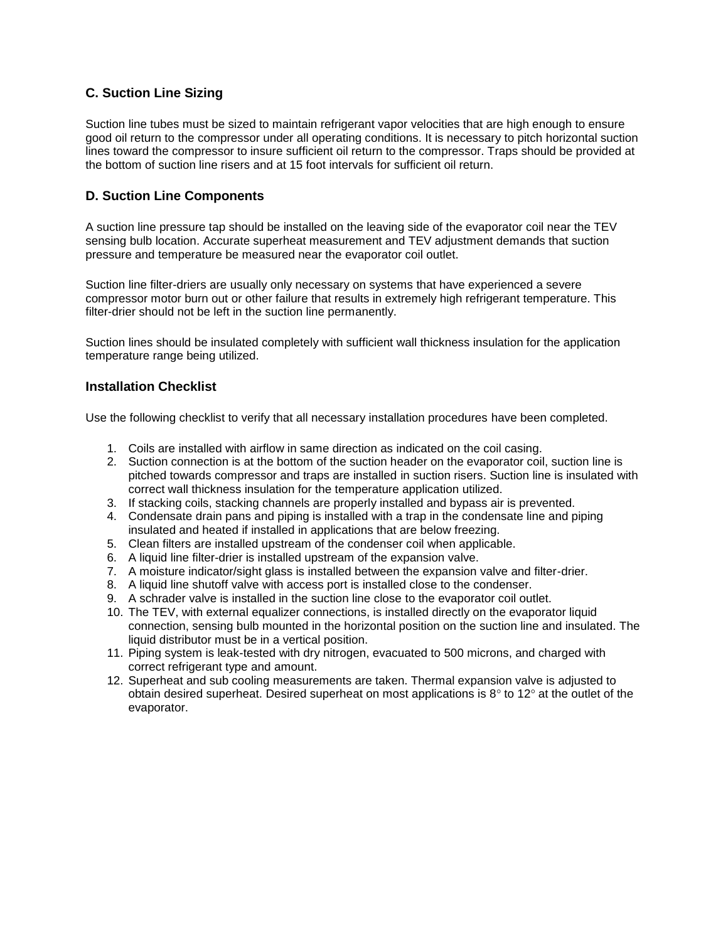### **C. Suction Line Sizing**

Suction line tubes must be sized to maintain refrigerant vapor velocities that are high enough to ensure good oil return to the compressor under all operating conditions. It is necessary to pitch horizontal suction lines toward the compressor to insure sufficient oil return to the compressor. Traps should be provided at the bottom of suction line risers and at 15 foot intervals for sufficient oil return.

### **D. Suction Line Components**

A suction line pressure tap should be installed on the leaving side of the evaporator coil near the TEV sensing bulb location. Accurate superheat measurement and TEV adjustment demands that suction pressure and temperature be measured near the evaporator coil outlet.

Suction line filter-driers are usually only necessary on systems that have experienced a severe compressor motor burn out or other failure that results in extremely high refrigerant temperature. This filter-drier should not be left in the suction line permanently.

Suction lines should be insulated completely with sufficient wall thickness insulation for the application temperature range being utilized.

### **Installation Checklist**

Use the following checklist to verify that all necessary installation procedures have been completed.

- 1. Coils are installed with airflow in same direction as indicated on the coil casing.
- 2. Suction connection is at the bottom of the suction header on the evaporator coil, suction line is pitched towards compressor and traps are installed in suction risers. Suction line is insulated with correct wall thickness insulation for the temperature application utilized.
- 3. If stacking coils, stacking channels are properly installed and bypass air is prevented.
- 4. Condensate drain pans and piping is installed with a trap in the condensate line and piping insulated and heated if installed in applications that are below freezing.
- 5. Clean filters are installed upstream of the condenser coil when applicable.
- 6. A liquid line filter-drier is installed upstream of the expansion valve.
- 7. A moisture indicator/sight glass is installed between the expansion valve and filter-drier.
- 8. A liquid line shutoff valve with access port is installed close to the condenser.
- 9. A schrader valve is installed in the suction line close to the evaporator coil outlet.
- 10. The TEV, with external equalizer connections, is installed directly on the evaporator liquid connection, sensing bulb mounted in the horizontal position on the suction line and insulated. The liquid distributor must be in a vertical position.
- 11. Piping system is leak-tested with dry nitrogen, evacuated to 500 microns, and charged with correct refrigerant type and amount.
- 12. Superheat and sub cooling measurements are taken. Thermal expansion valve is adjusted to obtain desired superheat. Desired superheat on most applications is  $8^\circ$  to 12 $^\circ$  at the outlet of the evaporator.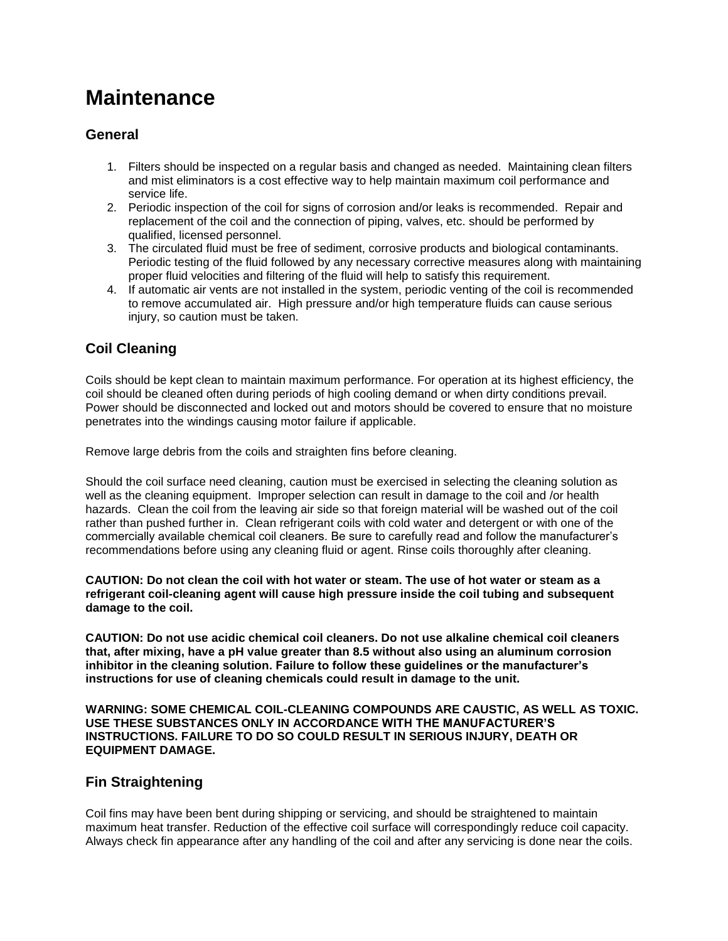# **Maintenance**

### **General**

- 1. Filters should be inspected on a regular basis and changed as needed. Maintaining clean filters and mist eliminators is a cost effective way to help maintain maximum coil performance and service life.
- 2. Periodic inspection of the coil for signs of corrosion and/or leaks is recommended. Repair and replacement of the coil and the connection of piping, valves, etc. should be performed by qualified, licensed personnel.
- 3. The circulated fluid must be free of sediment, corrosive products and biological contaminants. Periodic testing of the fluid followed by any necessary corrective measures along with maintaining proper fluid velocities and filtering of the fluid will help to satisfy this requirement.
- 4. If automatic air vents are not installed in the system, periodic venting of the coil is recommended to remove accumulated air. High pressure and/or high temperature fluids can cause serious injury, so caution must be taken.

### **Coil Cleaning**

Coils should be kept clean to maintain maximum performance. For operation at its highest efficiency, the coil should be cleaned often during periods of high cooling demand or when dirty conditions prevail. Power should be disconnected and locked out and motors should be covered to ensure that no moisture penetrates into the windings causing motor failure if applicable.

Remove large debris from the coils and straighten fins before cleaning.

Should the coil surface need cleaning, caution must be exercised in selecting the cleaning solution as well as the cleaning equipment. Improper selection can result in damage to the coil and /or health hazards. Clean the coil from the leaving air side so that foreign material will be washed out of the coil rather than pushed further in. Clean refrigerant coils with cold water and detergent or with one of the commercially available chemical coil cleaners. Be sure to carefully read and follow the manufacturer's recommendations before using any cleaning fluid or agent. Rinse coils thoroughly after cleaning.

**CAUTION: Do not clean the coil with hot water or steam. The use of hot water or steam as a refrigerant coil-cleaning agent will cause high pressure inside the coil tubing and subsequent damage to the coil.** 

**CAUTION: Do not use acidic chemical coil cleaners. Do not use alkaline chemical coil cleaners that, after mixing, have a pH value greater than 8.5 without also using an aluminum corrosion inhibitor in the cleaning solution. Failure to follow these guidelines or the manufacturer's instructions for use of cleaning chemicals could result in damage to the unit.** 

**WARNING: SOME CHEMICAL COIL-CLEANING COMPOUNDS ARE CAUSTIC, AS WELL AS TOXIC. USE THESE SUBSTANCES ONLY IN ACCORDANCE WITH THE MANUFACTURER'S INSTRUCTIONS. FAILURE TO DO SO COULD RESULT IN SERIOUS INJURY, DEATH OR EQUIPMENT DAMAGE.** 

### **Fin Straightening**

Coil fins may have been bent during shipping or servicing, and should be straightened to maintain maximum heat transfer. Reduction of the effective coil surface will correspondingly reduce coil capacity. Always check fin appearance after any handling of the coil and after any servicing is done near the coils.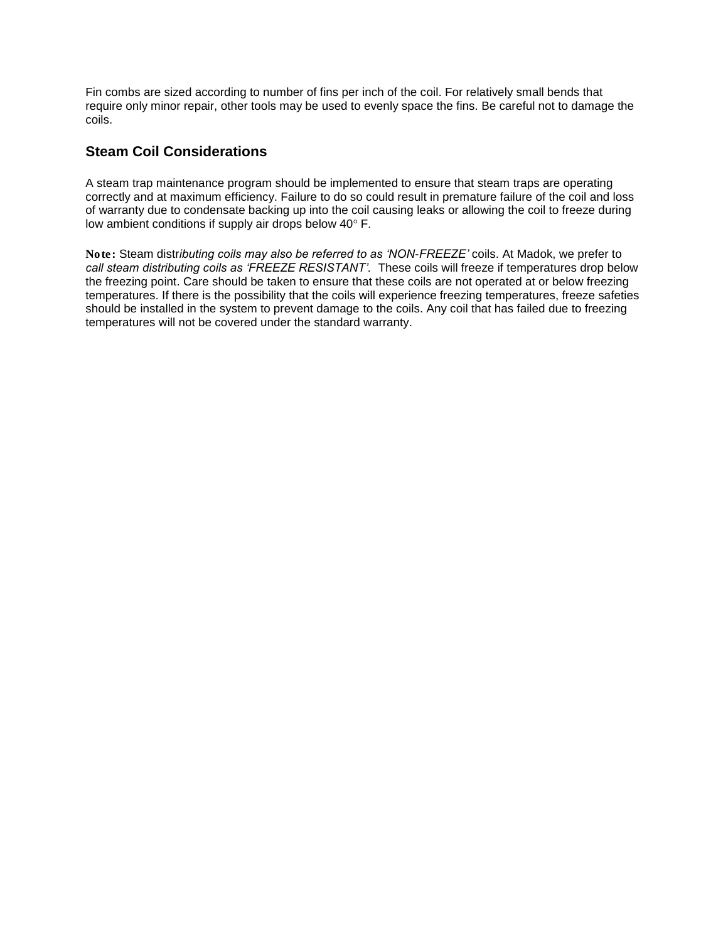Fin combs are sized according to number of fins per inch of the coil. For relatively small bends that require only minor repair, other tools may be used to evenly space the fins. Be careful not to damage the coils.

### **Steam Coil Considerations**

A steam trap maintenance program should be implemented to ensure that steam traps are operating correctly and at maximum efficiency. Failure to do so could result in premature failure of the coil and loss of warranty due to condensate backing up into the coil causing leaks or allowing the coil to freeze during low ambient conditions if supply air drops below 40° F.

*Note: Steam distributing coils may also be referred to as 'NON-FREEZE' coils. At Madok, we prefer to call steam distributing coils as 'FREEZE RESISTANT'. These coils will freeze if temperatures drop below the freezing point. Care should be taken to ensure that these coils are not operated at or below freezing temperatures. If there is the possibility that the coils will experience freezing temperatures, freeze safeties should be installed in the system to prevent damage to the coils. Any coil that has failed due to freezing temperatures will not be covered under the standard warranty.*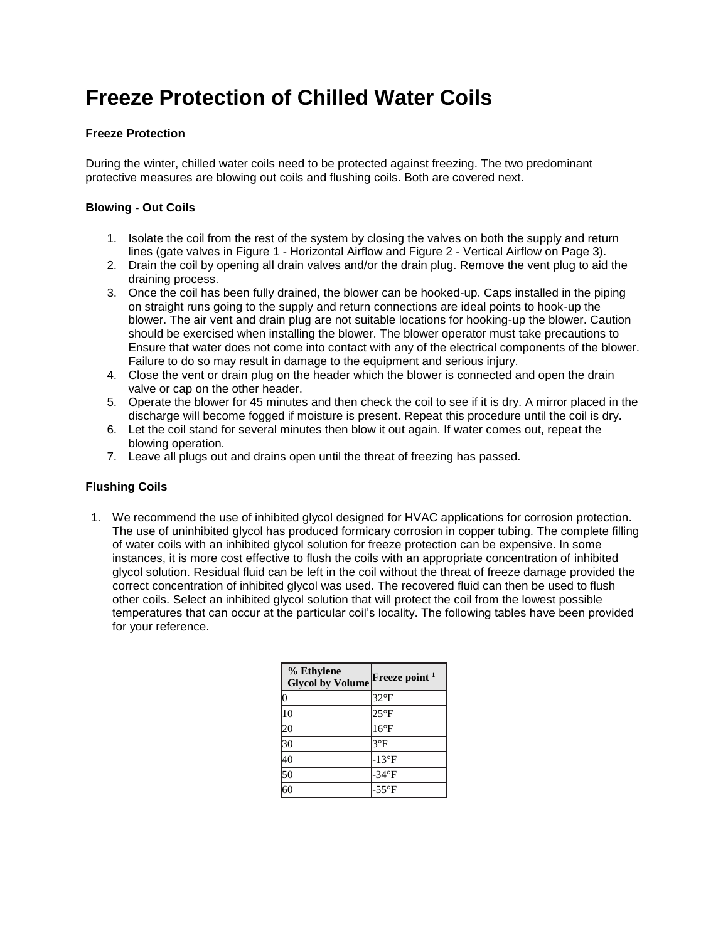# **Freeze Protection of Chilled Water Coils**

### **Freeze Protection**

During the winter, chilled water coils need to be protected against freezing. The two predominant protective measures are blowing out coils and flushing coils. Both are covered next.

### **Blowing - Out Coils**

- 1. Isolate the coil from the rest of the system by closing the valves on both the supply and return lines (gate valves in Figure 1 - Horizontal Airflow and Figure 2 - Vertical Airflow on Page 3).
- 2. Drain the coil by opening all drain valves and/or the drain plug. Remove the vent plug to aid the draining process.
- 3. Once the coil has been fully drained, the blower can be hooked-up. Caps installed in the piping on straight runs going to the supply and return connections are ideal points to hook-up the blower. The air vent and drain plug are not suitable locations for hooking-up the blower. Caution should be exercised when installing the blower. The blower operator must take precautions to Ensure that water does not come into contact with any of the electrical components of the blower. Failure to do so may result in damage to the equipment and serious injury.
- 4. Close the vent or drain plug on the header which the blower is connected and open the drain valve or cap on the other header.
- 5. Operate the blower for 45 minutes and then check the coil to see if it is dry. A mirror placed in the discharge will become fogged if moisture is present. Repeat this procedure until the coil is dry.
- 6. Let the coil stand for several minutes then blow it out again. If water comes out, repeat the blowing operation.
- 7. Leave all plugs out and drains open until the threat of freezing has passed.

### **Flushing Coils**

1. We recommend the use of inhibited glycol designed for HVAC applications for corrosion protection. The use of uninhibited glycol has produced formicary corrosion in copper tubing. The complete filling of water coils with an inhibited glycol solution for freeze protection can be expensive. In some instances, it is more cost effective to flush the coils with an appropriate concentration of inhibited glycol solution. Residual fluid can be left in the coil without the threat of freeze damage provided the correct concentration of inhibited glycol was used. The recovered fluid can then be used to flush other coils. Select an inhibited glycol solution that will protect the coil from the lowest possible temperatures that can occur at the particular coil's locality. The following tables have been provided for your reference.

| % Ethylene<br><b>Glycol by Volume</b> | Freeze point <sup>1</sup> |
|---------------------------------------|---------------------------|
| $\overline{0}$                        | $32^{\circ}F$             |
| 10                                    | $25^{\circ}F$             |
| 20                                    | $16^{\circ}F$             |
| 30                                    | $3^{\circ}F$              |
| 40                                    | $-13^{\circ}F$            |
| 50                                    | $-34$ <sup>o</sup> F      |
|                                       | $-55^{\circ}F$            |